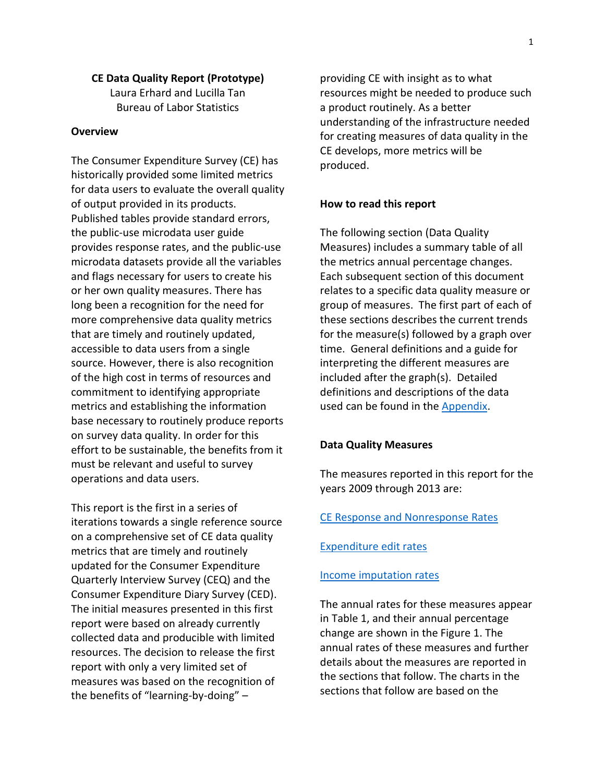#### **CE Data Quality Report (Prototype)**

Laura Erhard and Lucilla Tan Bureau of Labor Statistics

### **Overview**

The Consumer Expenditure Survey (CE) has historically provided some limited metrics for data users to evaluate the overall quality of output provided in its products. Published tables provide standard errors, the public-use microdata user guide provides response rates, and the public-use microdata datasets provide all the variables and flags necessary for users to create his or her own quality measures. There has long been a recognition for the need for more comprehensive data quality metrics that are timely and routinely updated, accessible to data users from a single source. However, there is also recognition of the high cost in terms of resources and commitment to identifying appropriate metrics and establishing the information base necessary to routinely produce reports on survey data quality. In order for this effort to be sustainable, the benefits from it must be relevant and useful to survey operations and data users.

This report is the first in a series of iterations towards a single reference source on a comprehensive set of CE data quality metrics that are timely and routinely updated for the Consumer Expenditure Quarterly Interview Survey (CEQ) and the Consumer Expenditure Diary Survey (CED). The initial measures presented in this first report were based on already currently collected data and producible with limited resources. The decision to release the first report with only a very limited set of measures was based on the recognition of the benefits of "learning-by-doing" –

providing CE with insight as to what resources might be needed to produce such a product routinely. As a better understanding of the infrastructure needed for creating measures of data quality in the CE develops, more metrics will be produced.

#### **How to read this report**

The following section (Data Quality Measures) includes a summary table of all the metrics annual percentage changes. Each subsequent section of this document relates to a specific data quality measure or group of measures. The first part of each of these sections describes the current trends for the measure(s) followed by a graph over time. General definitions and a guide for interpreting the different measures are included after the graph(s). Detailed definitions and descriptions of the data used can be found in the [Appendix.](#page-9-0)

#### **Data Quality Measures**

The measures reported in this report for the years 2009 through 2013 are:

### [CE Response and Nonresponse Rates](#page-2-0)

#### [Expenditure edit rates](#page-5-0)

#### [Income imputation rates](#page-8-0)

The annual rates for these measures appear in Table 1, and their annual percentage change are shown in the Figure 1. The annual rates of these measures and further details about the measures are reported in the sections that follow. The charts in the sections that follow are based on the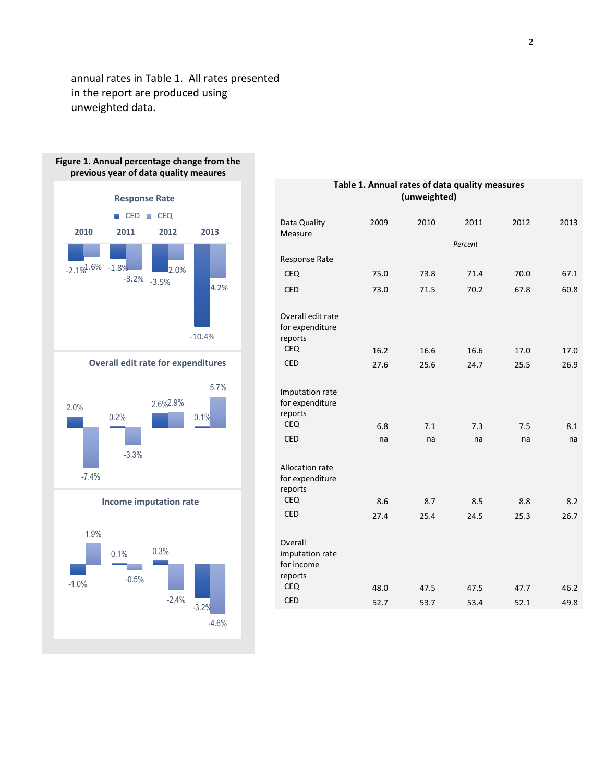annual rates in Table 1. All rates presented in the report are produced using unweighted data.



**Income imputation rate**

-3.3%

-7.4%



| Table 1. Annual rates of data quality measures<br>(unweighted)            |           |           |           |           |           |
|---------------------------------------------------------------------------|-----------|-----------|-----------|-----------|-----------|
| Data Quality<br>Measure                                                   | 2009      | 2010      | 2011      | 2012      | 2013      |
|                                                                           |           |           | Percent   |           |           |
| Response Rate                                                             |           |           |           |           |           |
| <b>CEQ</b>                                                                | 75.0      | 73.8      | 71.4      | 70.0      | 67.1      |
| <b>CED</b>                                                                | 73.0      | 71.5      | 70.2      | 67.8      | 60.8      |
| Overall edit rate<br>for expenditure<br>reports                           |           |           |           |           |           |
| <b>CEQ</b>                                                                | 16.2      | 16.6      | 16.6      | 17.0      | 17.0      |
| <b>CED</b>                                                                | 27.6      | 25.6      | 24.7      | 25.5      | 26.9      |
| Imputation rate<br>for expenditure<br>reports<br><b>CEQ</b><br><b>CED</b> | 6.8<br>na | 7.1<br>na | 7.3<br>na | 7.5<br>na | 8.1<br>na |
| Allocation rate<br>for expenditure<br>reports                             |           |           |           |           |           |
| <b>CEQ</b>                                                                | 8.6       | 8.7       | 8.5       | 8.8       | 8.2       |
| <b>CED</b>                                                                | 27.4      | 25.4      | 24.5      | 25.3      | 26.7      |
| Overall<br>imputation rate<br>for income<br>reports                       |           |           |           |           |           |
| <b>CEQ</b>                                                                | 48.0      | 47.5      | 47.5      | 47.7      | 46.2      |
| <b>CED</b>                                                                | 52.7      | 53.7      | 53.4      | 52.1      | 49.8      |

#### 2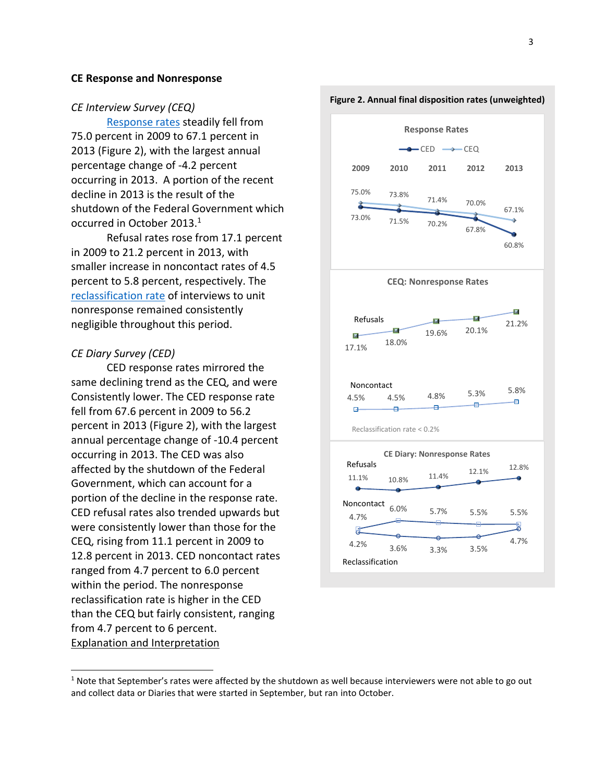#### <span id="page-2-0"></span>**CE Response and Nonresponse**

#### *CE Interview Survey (CEQ)*

[Response rates](#page-9-1) steadily fell from 75.0 percent in 2009 to 67.1 percent in 2013 (Figure 2), with the largest annual percentage change of -4.2 percent occurring in 2013. A portion of the recent decline in 2013 is the result of the shutdown of the Federal Government which occurred in October 2013. $^1$ 

Refusal rates rose from 17.1 percent in 2009 to 21.2 percent in 2013, with smaller increase in noncontact rates of 4.5 percent to 5.8 percent, respectively. The [reclassification rate](#page-11-0) of interviews to unit nonresponse remained consistently negligible throughout this period.

### *CE Diary Survey (CED)*

 $\overline{a}$ 

 CED response rates mirrored the same declining trend as the CEQ, and were Consistently lower. The CED response rate fell from 67.6 percent in 2009 to 56.2 percent in 2013 (Figure 2), with the largest annual percentage change of -10.4 percent occurring in 2013. The CED was also affected by the shutdown of the Federal Government, which can account for a portion of the decline in the response rate. CED refusal rates also trended upwards but were consistently lower than those for the CEQ, rising from 11.1 percent in 2009 to 12.8 percent in 2013. CED noncontact rates ranged from 4.7 percent to 6.0 percent within the period. The nonresponse reclassification rate is higher in the CED than the CEQ but fairly consistent, ranging from 4.7 percent to 6 percent. Explanation and Interpretation



#### **Figure 2. Annual final disposition rates (unweighted)**

 $1$  Note that September's rates were affected by the shutdown as well because interviewers were not able to go out and collect data or Diaries that were started in September, but ran into October.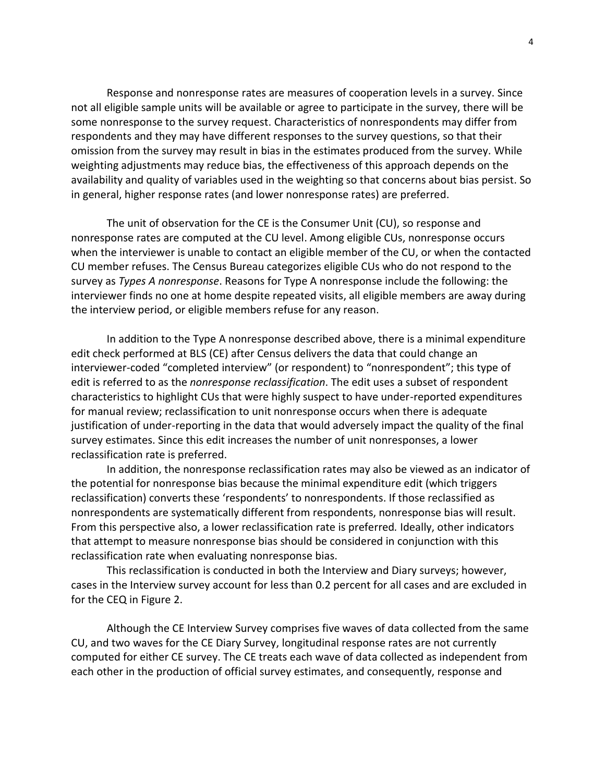Response and nonresponse rates are measures of cooperation levels in a survey. Since not all eligible sample units will be available or agree to participate in the survey, there will be some nonresponse to the survey request. Characteristics of nonrespondents may differ from respondents and they may have different responses to the survey questions, so that their omission from the survey may result in bias in the estimates produced from the survey. While weighting adjustments may reduce bias, the effectiveness of this approach depends on the availability and quality of variables used in the weighting so that concerns about bias persist. So in general, higher response rates (and lower nonresponse rates) are preferred.

The unit of observation for the CE is the Consumer Unit (CU), so response and nonresponse rates are computed at the CU level. Among eligible CUs, nonresponse occurs when the interviewer is unable to contact an eligible member of the CU, or when the contacted CU member refuses. The Census Bureau categorizes eligible CUs who do not respond to the survey as *Types A nonresponse*. Reasons for Type A nonresponse include the following: the interviewer finds no one at home despite repeated visits, all eligible members are away during the interview period, or eligible members refuse for any reason.

In addition to the Type A nonresponse described above, there is a minimal expenditure edit check performed at BLS (CE) after Census delivers the data that could change an interviewer-coded "completed interview" (or respondent) to "nonrespondent"; this type of edit is referred to as the *nonresponse reclassification*. The edit uses a subset of respondent characteristics to highlight CUs that were highly suspect to have under-reported expenditures for manual review; reclassification to unit nonresponse occurs when there is adequate justification of under-reporting in the data that would adversely impact the quality of the final survey estimates. Since this edit increases the number of unit nonresponses, a lower reclassification rate is preferred.

In addition, the nonresponse reclassification rates may also be viewed as an indicator of the potential for nonresponse bias because the minimal expenditure edit (which triggers reclassification) converts these 'respondents' to nonrespondents. If those reclassified as nonrespondents are systematically different from respondents, nonresponse bias will result. From this perspective also, a lower reclassification rate is preferred*.* Ideally, other indicators that attempt to measure nonresponse bias should be considered in conjunction with this reclassification rate when evaluating nonresponse bias.

This reclassification is conducted in both the Interview and Diary surveys; however, cases in the Interview survey account for less than 0.2 percent for all cases and are excluded in for the CEQ in Figure 2.

Although the CE Interview Survey comprises five waves of data collected from the same CU, and two waves for the CE Diary Survey, longitudinal response rates are not currently computed for either CE survey. The CE treats each wave of data collected as independent from each other in the production of official survey estimates, and consequently, response and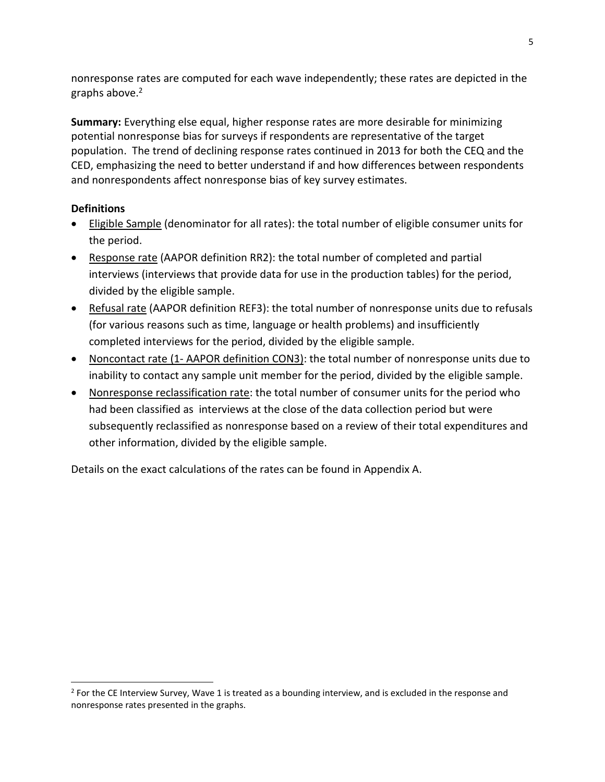nonresponse rates are computed for each wave independently; these rates are depicted in the graphs above.<sup>2</sup>

**Summary:** Everything else equal, higher response rates are more desirable for minimizing potential nonresponse bias for surveys if respondents are representative of the target population. The trend of declining response rates continued in 2013 for both the CEQ and the CED, emphasizing the need to better understand if and how differences between respondents and nonrespondents affect nonresponse bias of key survey estimates.

# **Definitions**

 $\overline{a}$ 

- Eligible Sample (denominator for all rates): the total number of eligible consumer units for the period.
- Response rate (AAPOR definition RR2): the total number of completed and partial interviews (interviews that provide data for use in the production tables) for the period, divided by the eligible sample.
- Refusal rate (AAPOR definition REF3): the total number of nonresponse units due to refusals (for various reasons such as time, language or health problems) and insufficiently completed interviews for the period, divided by the eligible sample.
- Noncontact rate (1- AAPOR definition CON3): the total number of nonresponse units due to inability to contact any sample unit member for the period, divided by the eligible sample.
- Nonresponse reclassification rate: the total number of consumer units for the period who had been classified as interviews at the close of the data collection period but were subsequently reclassified as nonresponse based on a review of their total expenditures and other information, divided by the eligible sample.

Details on the exact calculations of the rates can be found in Appendix A.

 $2$  For the CE Interview Survey, Wave 1 is treated as a bounding interview, and is excluded in the response and nonresponse rates presented in the graphs.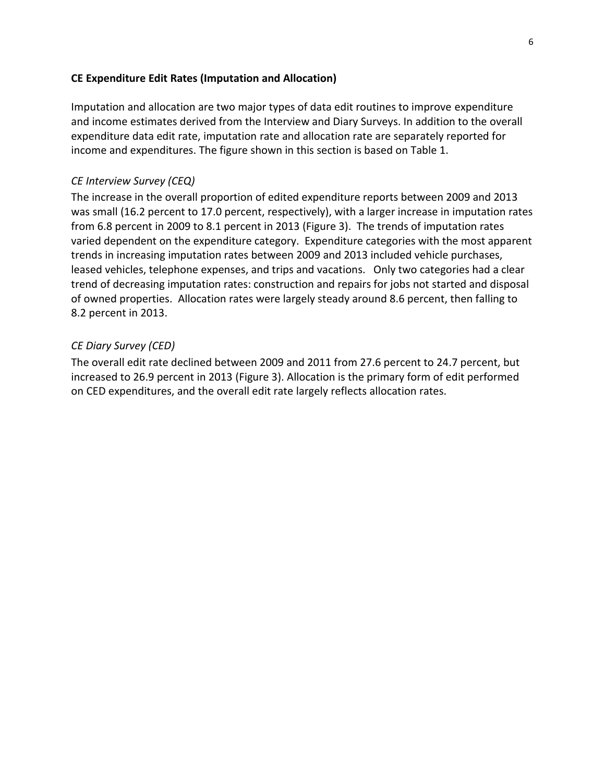### <span id="page-5-0"></span>**CE Expenditure Edit Rates (Imputation and Allocation)**

Imputation and allocation are two major types of data edit routines to improve expenditure and income estimates derived from the Interview and Diary Surveys. In addition to the overall expenditure data edit rate, imputation rate and allocation rate are separately reported for income and expenditures. The figure shown in this section is based on Table 1.

### *CE Interview Survey (CEQ)*

The increase in the overall proportion of edited expenditure reports between 2009 and 2013 was small (16.2 percent to 17.0 percent, respectively), with a larger increase in imputation rates from 6.8 percent in 2009 to 8.1 percent in 2013 (Figure 3). The trends of imputation rates varied dependent on the expenditure category. Expenditure categories with the most apparent trends in increasing imputation rates between 2009 and 2013 included vehicle purchases, leased vehicles, telephone expenses, and trips and vacations. Only two categories had a clear trend of decreasing imputation rates: construction and repairs for jobs not started and disposal of owned properties. Allocation rates were largely steady around 8.6 percent, then falling to 8.2 percent in 2013.

### *CE Diary Survey (CED)*

The overall edit rate declined between 2009 and 2011 from 27.6 percent to 24.7 percent, but increased to 26.9 percent in 2013 (Figure 3). Allocation is the primary form of edit performed on CED expenditures, and the overall edit rate largely reflects allocation rates.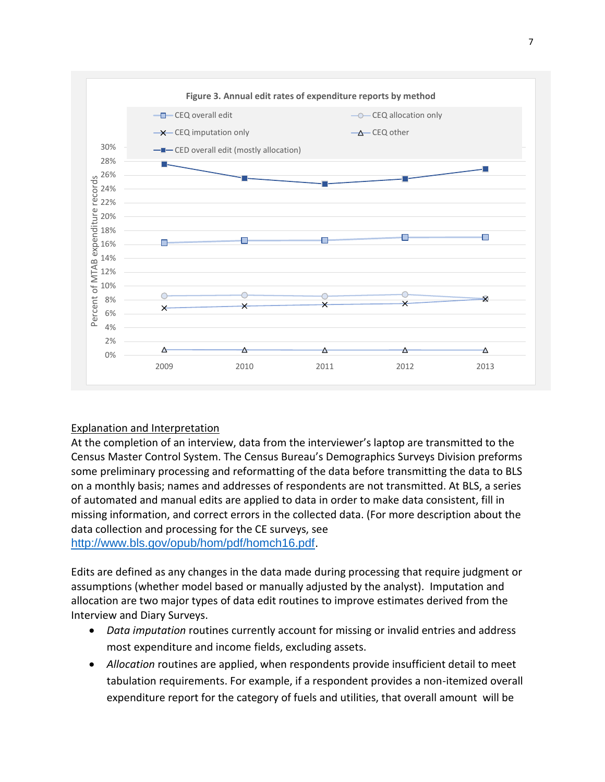

# Explanation and Interpretation

At the completion of an interview, data from the interviewer's laptop are transmitted to the Census Master Control System. The Census Bureau's Demographics Surveys Division preforms some preliminary processing and reformatting of the data before transmitting the data to BLS on a monthly basis; names and addresses of respondents are not transmitted. At BLS, a series of automated and manual edits are applied to data in order to make data consistent, fill in missing information, and correct errors in the collected data. (For more description about the data collection and processing for the CE surveys, see [http://www.bls.gov/opub/hom/pdf/homch16.pdf.](http://www.bls.gov/opub/hom/pdf/homch16.pdf)

Edits are defined as any changes in the data made during processing that require judgment or assumptions (whether model based or manually adjusted by the analyst). Imputation and allocation are two major types of data edit routines to improve estimates derived from the Interview and Diary Surveys.

- *Data imputation* routines currently account for missing or invalid entries and address most expenditure and income fields, excluding assets.
- *Allocation* routines are applied, when respondents provide insufficient detail to meet tabulation requirements. For example, if a respondent provides a non-itemized overall expenditure report for the category of fuels and utilities, that overall amount will be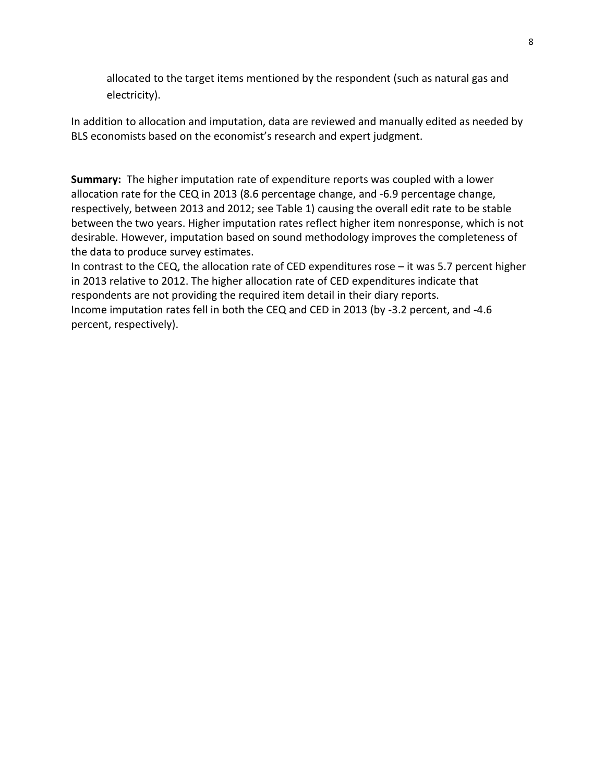allocated to the target items mentioned by the respondent (such as natural gas and electricity).

In addition to allocation and imputation, data are reviewed and manually edited as needed by BLS economists based on the economist's research and expert judgment.

**Summary:** The higher imputation rate of expenditure reports was coupled with a lower allocation rate for the CEQ in 2013 (8.6 percentage change, and -6.9 percentage change, respectively, between 2013 and 2012; see Table 1) causing the overall edit rate to be stable between the two years. Higher imputation rates reflect higher item nonresponse, which is not desirable. However, imputation based on sound methodology improves the completeness of the data to produce survey estimates.

In contrast to the CEQ, the allocation rate of CED expenditures rose – it was 5.7 percent higher in 2013 relative to 2012. The higher allocation rate of CED expenditures indicate that respondents are not providing the required item detail in their diary reports. Income imputation rates fell in both the CEQ and CED in 2013 (by -3.2 percent, and -4.6 percent, respectively).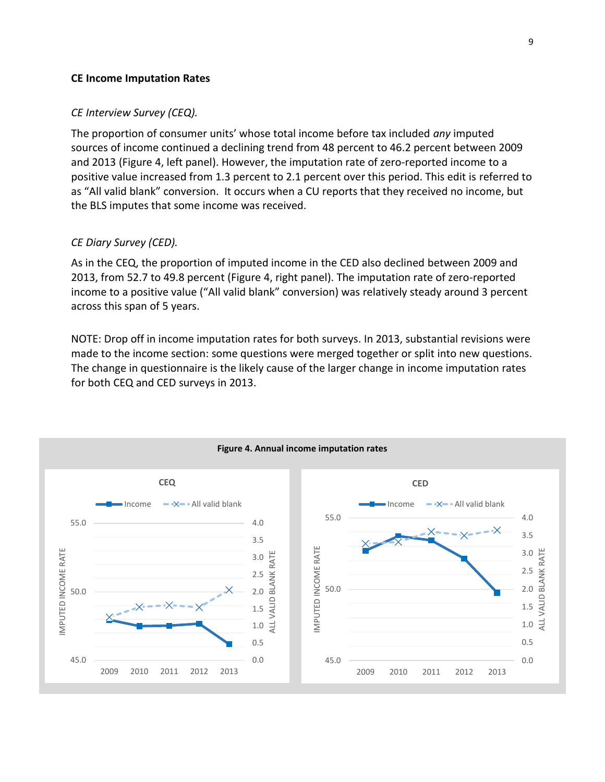### <span id="page-8-0"></span>**CE Income Imputation Rates**

#### *CE Interview Survey (CEQ).*

The proportion of consumer units' whose total income before tax included *any* imputed sources of income continued a declining trend from 48 percent to 46.2 percent between 2009 and 2013 (Figure 4, left panel). However, the imputation rate of zero-reported income to a positive value increased from 1.3 percent to 2.1 percent over this period. This edit is referred to as "All valid blank" conversion. It occurs when a CU reports that they received no income, but the BLS imputes that some income was received.

#### *CE Diary Survey (CED).*

As in the CEQ, the proportion of imputed income in the CED also declined between 2009 and 2013, from 52.7 to 49.8 percent (Figure 4, right panel). The imputation rate of zero-reported income to a positive value ("All valid blank" conversion) was relatively steady around 3 percent across this span of 5 years.

NOTE: Drop off in income imputation rates for both surveys. In 2013, substantial revisions were made to the income section: some questions were merged together or split into new questions. The change in questionnaire is the likely cause of the larger change in income imputation rates for both CEQ and CED surveys in 2013.

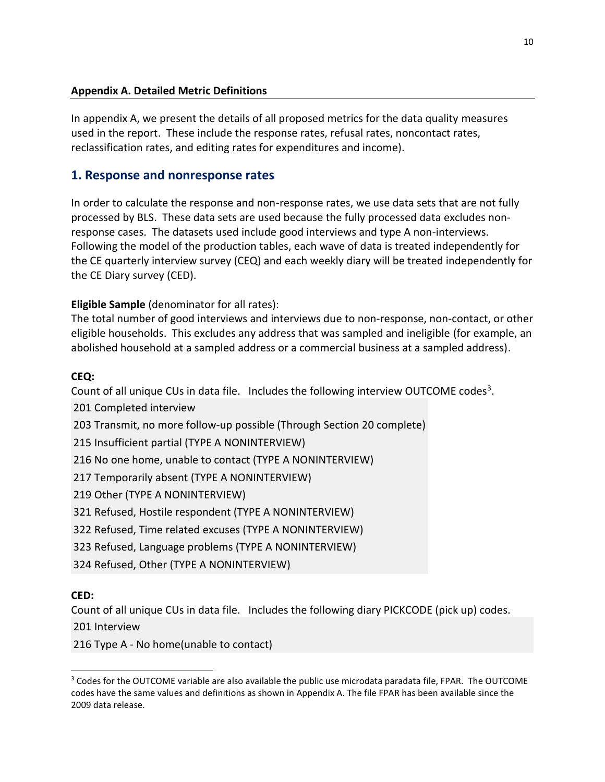<span id="page-9-0"></span>In appendix A, we present the details of all proposed metrics for the data quality measures used in the report. These include the response rates, refusal rates, noncontact rates, reclassification rates, and editing rates for expenditures and income).

# <span id="page-9-1"></span>**1. Response and nonresponse rates**

In order to calculate the response and non-response rates, we use data sets that are not fully processed by BLS. These data sets are used because the fully processed data excludes nonresponse cases. The datasets used include good interviews and type A non-interviews. Following the model of the production tables, each wave of data is treated independently for the CE quarterly interview survey (CEQ) and each weekly diary will be treated independently for the CE Diary survey (CED).

# **Eligible Sample** (denominator for all rates):

The total number of good interviews and interviews due to non-response, non-contact, or other eligible households. This excludes any address that was sampled and ineligible (for example, an abolished household at a sampled address or a commercial business at a sampled address).

# **CEQ:**

Count of all unique CUs in data file. Includes the following interview OUTCOME codes<sup>3</sup>.

201 Completed interview

203 Transmit, no more follow-up possible (Through Section 20 complete)

215 Insufficient partial (TYPE A NONINTERVIEW)

216 No one home, unable to contact (TYPE A NONINTERVIEW)

217 Temporarily absent (TYPE A NONINTERVIEW)

219 Other (TYPE A NONINTERVIEW)

321 Refused, Hostile respondent (TYPE A NONINTERVIEW)

322 Refused, Time related excuses (TYPE A NONINTERVIEW)

323 Refused, Language problems (TYPE A NONINTERVIEW)

324 Refused, Other (TYPE A NONINTERVIEW)

# **CED:**

 $\overline{a}$ 

Count of all unique CUs in data file. Includes the following diary PICKCODE (pick up) codes.

201 Interview

216 Type A - No home(unable to contact)

<sup>&</sup>lt;sup>3</sup> Codes for the OUTCOME variable are also available the public use microdata paradata file, FPAR. The OUTCOME codes have the same values and definitions as shown in Appendix A. The file FPAR has been available since the 2009 data release.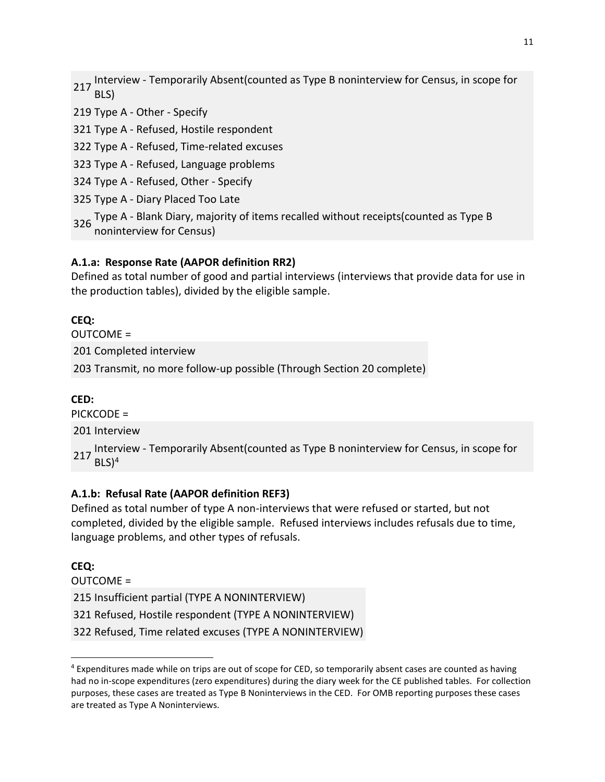Interview - Temporarily Absent(counted as Type B noninterview for Census, in scope for BLS)

219 Type A - Other - Specify

321 Type A - Refused, Hostile respondent

322 Type A - Refused, Time-related excuses

323 Type A - Refused, Language problems

324 Type A - Refused, Other - Specify

325 Type A - Diary Placed Too Late

<sup>326</sup> Type A - Blank Diary, majority of items recalled without receipts(counted as Type B noninterview for Census)

### **A.1.a: Response Rate (AAPOR definition RR2)**

Defined as total number of good and partial interviews (interviews that provide data for use in the production tables), divided by the eligible sample.

# **CEQ:**

OUTCOME = 201 Completed interview 203 Transmit, no more follow-up possible (Through Section 20 complete)

### **CED:**

PICKCODE =

201 Interview

Interview - Temporarily Absent(counted as Type B noninterview for Census, in scope for  $BLS$ <sup>4</sup>

### **A.1.b: Refusal Rate (AAPOR definition REF3)**

Defined as total number of type A non-interviews that were refused or started, but not completed, divided by the eligible sample. Refused interviews includes refusals due to time, language problems, and other types of refusals.

### **CEQ:**

 $\overline{a}$ 

OUTCOME = Insufficient partial (TYPE A NONINTERVIEW) Refused, Hostile respondent (TYPE A NONINTERVIEW) Refused, Time related excuses (TYPE A NONINTERVIEW)

<sup>&</sup>lt;sup>4</sup> Expenditures made while on trips are out of scope for CED, so temporarily absent cases are counted as having had no in-scope expenditures (zero expenditures) during the diary week for the CE published tables. For collection purposes, these cases are treated as Type B Noninterviews in the CED. For OMB reporting purposes these cases are treated as Type A Noninterviews.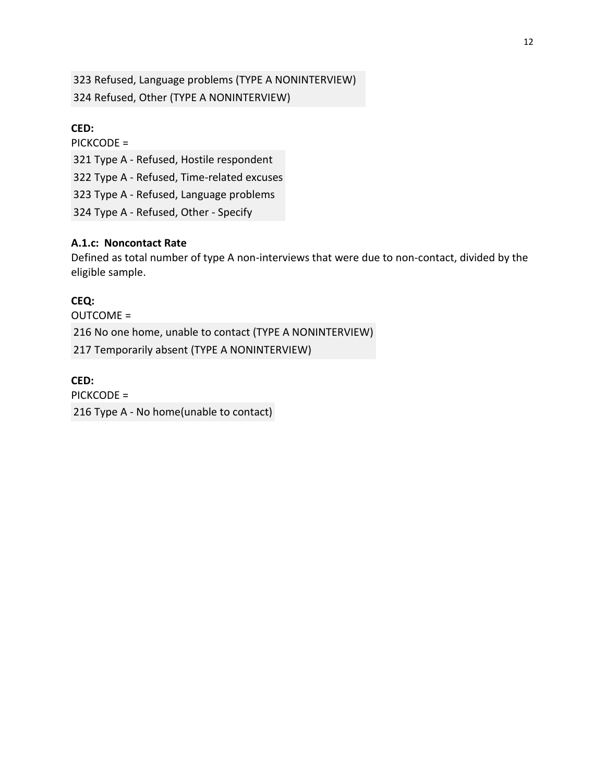323 Refused, Language problems (TYPE A NONINTERVIEW) 324 Refused, Other (TYPE A NONINTERVIEW)

**CED:** PICKCODE = Type A - Refused, Hostile respondent Type A - Refused, Time-related excuses Type A - Refused, Language problems Type A - Refused, Other - Specify

### **A.1.c: Noncontact Rate**

Defined as total number of type A non-interviews that were due to non-contact, divided by the eligible sample.

### **CEQ:**

OUTCOME = 216 No one home, unable to contact (TYPE A NONINTERVIEW) 217 Temporarily absent (TYPE A NONINTERVIEW)

# **CED:**

PICKCODE =

<span id="page-11-0"></span>216 Type A - No home(unable to contact)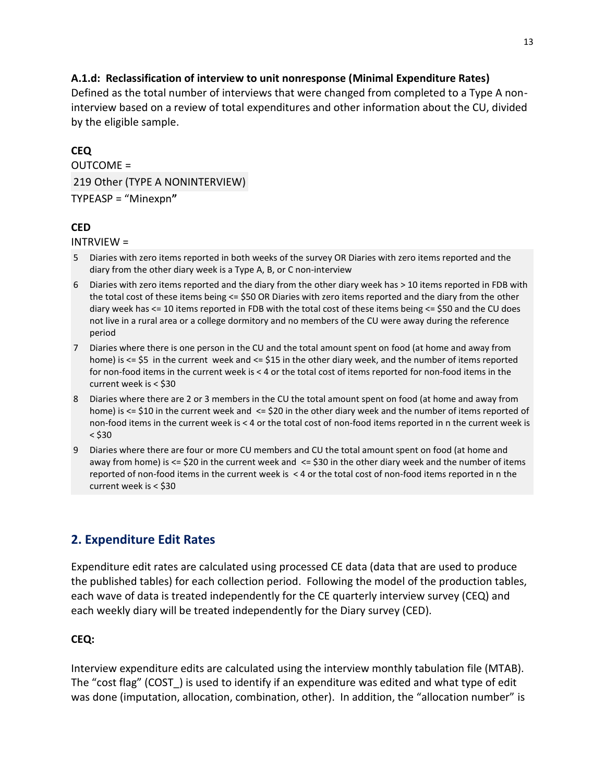# **A.1.d: Reclassification of interview to unit nonresponse (Minimal Expenditure Rates)**

Defined as the total number of interviews that were changed from completed to a Type A noninterview based on a review of total expenditures and other information about the CU, divided by the eligible sample.

# **CEQ**

 $OUITCOMF =$ 219 Other (TYPE A NONINTERVIEW) TYPEASP = "Minexpn**"**

# **CED**

INTRVIEW =

- 5 Diaries with zero items reported in both weeks of the survey OR Diaries with zero items reported and the diary from the other diary week is a Type A, B, or C non-interview
- 6 Diaries with zero items reported and the diary from the other diary week has > 10 items reported in FDB with the total cost of these items being <= \$50 OR Diaries with zero items reported and the diary from the other diary week has <= 10 items reported in FDB with the total cost of these items being <= \$50 and the CU does not live in a rural area or a college dormitory and no members of the CU were away during the reference period
- 7 Diaries where there is one person in the CU and the total amount spent on food (at home and away from home) is <= \$5 in the current week and <= \$15 in the other diary week, and the number of items reported for non-food items in the current week is < 4 or the total cost of items reported for non-food items in the current week is < \$30
- 8 Diaries where there are 2 or 3 members in the CU the total amount spent on food (at home and away from home) is <= \$10 in the current week and <= \$20 in the other diary week and the number of items reported of non-food items in the current week is < 4 or the total cost of non-food items reported in n the current week is  $<$  \$30
- 9 Diaries where there are four or more CU members and CU the total amount spent on food (at home and away from home) is  $\le$  \$20 in the current week and  $\le$  \$30 in the other diary week and the number of items reported of non-food items in the current week is < 4 or the total cost of non-food items reported in n the current week is < \$30

# **2. Expenditure Edit Rates**

Expenditure edit rates are calculated using processed CE data (data that are used to produce the published tables) for each collection period. Following the model of the production tables, each wave of data is treated independently for the CE quarterly interview survey (CEQ) and each weekly diary will be treated independently for the Diary survey (CED).

### **CEQ:**

Interview expenditure edits are calculated using the interview monthly tabulation file (MTAB). The "cost flag" (COST\_) is used to identify if an expenditure was edited and what type of edit was done (imputation, allocation, combination, other). In addition, the "allocation number" is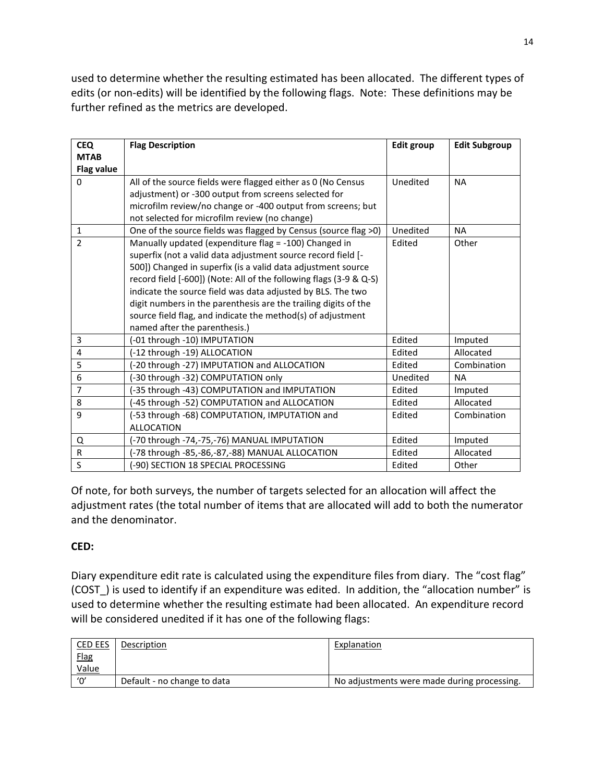used to determine whether the resulting estimated has been allocated. The different types of edits (or non-edits) will be identified by the following flags. Note: These definitions may be further refined as the metrics are developed.

| <b>CEQ</b>        | <b>Flag Description</b>                                            | <b>Edit group</b> | <b>Edit Subgroup</b> |
|-------------------|--------------------------------------------------------------------|-------------------|----------------------|
| <b>MTAB</b>       |                                                                    |                   |                      |
| <b>Flag value</b> |                                                                    |                   |                      |
| $\Omega$          | All of the source fields were flagged either as 0 (No Census       | Unedited          | <b>NA</b>            |
|                   | adjustment) or -300 output from screens selected for               |                   |                      |
|                   | microfilm review/no change or -400 output from screens; but        |                   |                      |
|                   | not selected for microfilm review (no change)                      |                   |                      |
| $\mathbf{1}$      | One of the source fields was flagged by Census (source flag >0)    | Unedited          | <b>NA</b>            |
| $\overline{2}$    | Manually updated (expenditure flag = -100) Changed in              | Edited            | Other                |
|                   | superfix (not a valid data adjustment source record field [-       |                   |                      |
|                   | 500]) Changed in superfix (is a valid data adjustment source       |                   |                      |
|                   | record field [-600]) (Note: All of the following flags (3-9 & Q-S) |                   |                      |
|                   | indicate the source field was data adjusted by BLS. The two        |                   |                      |
|                   | digit numbers in the parenthesis are the trailing digits of the    |                   |                      |
|                   | source field flag, and indicate the method(s) of adjustment        |                   |                      |
|                   | named after the parenthesis.)                                      |                   |                      |
| 3                 | (-01 through -10) IMPUTATION                                       | Edited            | Imputed              |
| 4                 | (-12 through -19) ALLOCATION                                       | Edited            | Allocated            |
| 5                 | (-20 through -27) IMPUTATION and ALLOCATION                        | Edited            | Combination          |
| 6                 | (-30 through -32) COMPUTATION only                                 | Unedited          | <b>NA</b>            |
| 7                 | (-35 through -43) COMPUTATION and IMPUTATION                       | Edited            | Imputed              |
| 8                 | -45 through -52) COMPUTATION and ALLOCATION                        | Edited            | Allocated            |
| 9                 | (-53 through -68) COMPUTATION, IMPUTATION and                      | Edited            | Combination          |
|                   | <b>ALLOCATION</b>                                                  |                   |                      |
| Q                 | (-70 through -74,-75,-76) MANUAL IMPUTATION                        | Edited            | Imputed              |
| R                 | (-78 through -85,-86,-87,-88) MANUAL ALLOCATION                    | Edited            | Allocated            |
| S                 | -90) SECTION 18 SPECIAL PROCESSING                                 | Edited            | Other                |

Of note, for both surveys, the number of targets selected for an allocation will affect the adjustment rates (the total number of items that are allocated will add to both the numerator and the denominator.

# **CED:**

Diary expenditure edit rate is calculated using the expenditure files from diary. The "cost flag" (COST\_) is used to identify if an expenditure was edited. In addition, the "allocation number" is used to determine whether the resulting estimate had been allocated. An expenditure record will be considered unedited if it has one of the following flags:

| CED EES      | Description                 | Explanation                                 |
|--------------|-----------------------------|---------------------------------------------|
| <b>Flag</b>  |                             |                                             |
| <u>Value</u> |                             |                                             |
| '0'          | Default - no change to data | No adjustments were made during processing. |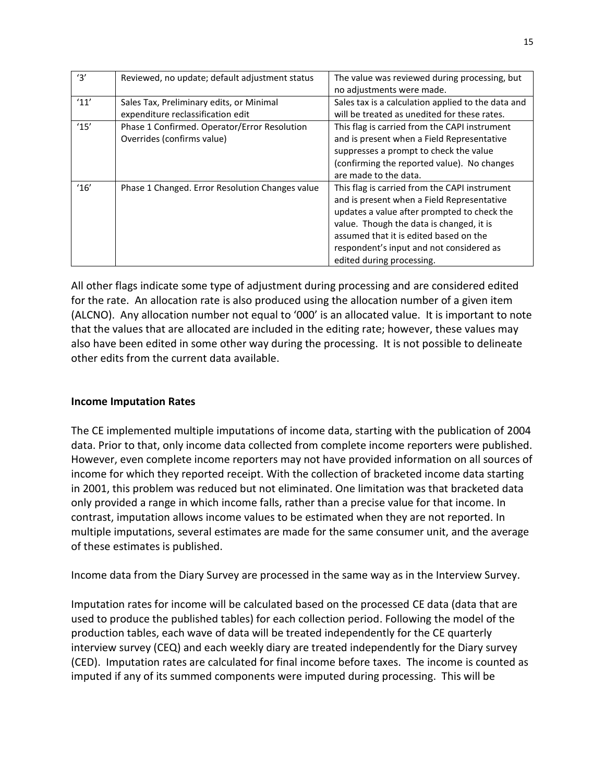| '3'  | Reviewed, no update; default adjustment status  | The value was reviewed during processing, but      |
|------|-------------------------------------------------|----------------------------------------------------|
|      |                                                 | no adjustments were made.                          |
| '11' | Sales Tax, Preliminary edits, or Minimal        | Sales tax is a calculation applied to the data and |
|      | expenditure reclassification edit               | will be treated as unedited for these rates.       |
| '15' | Phase 1 Confirmed. Operator/Error Resolution    | This flag is carried from the CAPI instrument      |
|      | Overrides (confirms value)                      | and is present when a Field Representative         |
|      |                                                 | suppresses a prompt to check the value             |
|      |                                                 | (confirming the reported value). No changes        |
|      |                                                 | are made to the data.                              |
| '16' | Phase 1 Changed. Error Resolution Changes value | This flag is carried from the CAPI instrument      |
|      |                                                 | and is present when a Field Representative         |
|      |                                                 | updates a value after prompted to check the        |
|      |                                                 | value. Though the data is changed, it is           |
|      |                                                 | assumed that it is edited based on the             |
|      |                                                 | respondent's input and not considered as           |
|      |                                                 | edited during processing.                          |

All other flags indicate some type of adjustment during processing and are considered edited for the rate. An allocation rate is also produced using the allocation number of a given item (ALCNO). Any allocation number not equal to '000' is an allocated value. It is important to note that the values that are allocated are included in the editing rate; however, these values may also have been edited in some other way during the processing. It is not possible to delineate other edits from the current data available.

# **Income Imputation Rates**

The CE implemented multiple imputations of income data, starting with the publication of 2004 data. Prior to that, only income data collected from complete income reporters were published. However, even complete income reporters may not have provided information on all sources of income for which they reported receipt. With the collection of bracketed income data starting in 2001, this problem was reduced but not eliminated. One limitation was that bracketed data only provided a range in which income falls, rather than a precise value for that income. In contrast, imputation allows income values to be estimated when they are not reported. In multiple imputations, several estimates are made for the same consumer unit, and the average of these estimates is published.

Income data from the Diary Survey are processed in the same way as in the Interview Survey.

Imputation rates for income will be calculated based on the processed CE data (data that are used to produce the published tables) for each collection period. Following the model of the production tables, each wave of data will be treated independently for the CE quarterly interview survey (CEQ) and each weekly diary are treated independently for the Diary survey (CED). Imputation rates are calculated for final income before taxes. The income is counted as imputed if any of its summed components were imputed during processing. This will be